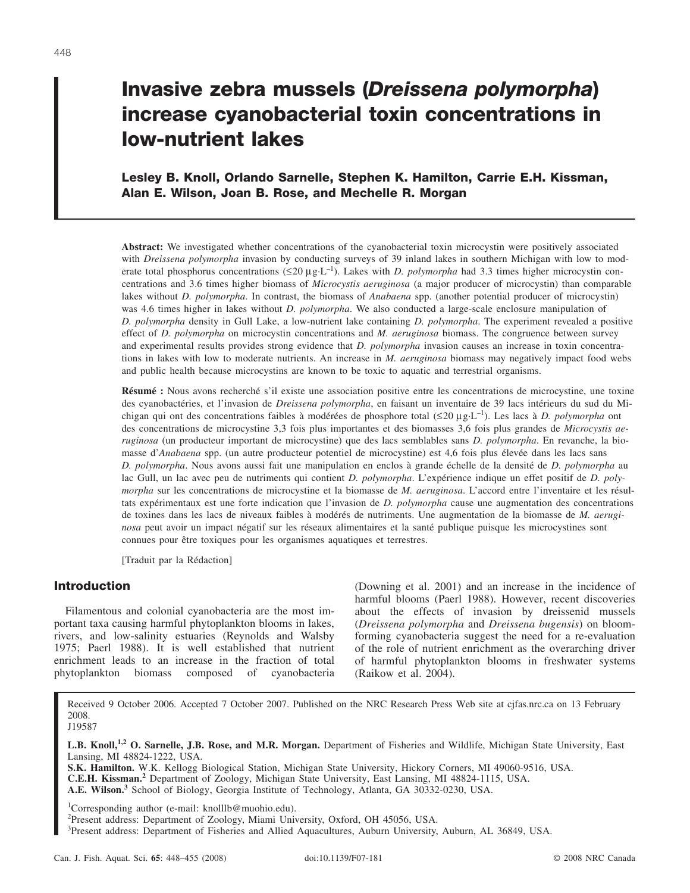# **Invasive zebra mussels (***Dreissena polymorpha***) increase cyanobacterial toxin concentrations in low-nutrient lakes**

**Lesley B. Knoll, Orlando Sarnelle, Stephen K. Hamilton, Carrie E.H. Kissman, Alan E. Wilson, Joan B. Rose, and Mechelle R. Morgan**

**Abstract:** We investigated whether concentrations of the cyanobacterial toxin microcystin were positively associated with *Dreissena polymorpha* invasion by conducting surveys of 39 inland lakes in southern Michigan with low to moderate total phosphorus concentrations ( $\leq 20 \mu g \cdot L^{-1}$ ). Lakes with *D. polymorpha* had 3.3 times higher microcystin concentrations and 3.6 times higher biomass of *Microcystis aeruginosa* (a major producer of microcystin) than comparable lakes without *D. polymorpha*. In contrast, the biomass of *Anabaena* spp. (another potential producer of microcystin) was 4.6 times higher in lakes without *D. polymorpha*. We also conducted a large-scale enclosure manipulation of *D. polymorpha* density in Gull Lake, a low-nutrient lake containing *D. polymorpha*. The experiment revealed a positive effect of *D. polymorpha* on microcystin concentrations and *M. aeruginosa* biomass. The congruence between survey and experimental results provides strong evidence that *D. polymorpha* invasion causes an increase in toxin concentrations in lakes with low to moderate nutrients. An increase in *M. aeruginosa* biomass may negatively impact food webs and public health because microcystins are known to be toxic to aquatic and terrestrial organisms.

**Résumé :** Nous avons recherché s'il existe une association positive entre les concentrations de microcystine, une toxine des cyanobactéries, et l'invasion de *Dreissena polymorpha*, en faisant un inventaire de 39 lacs intérieurs du sud du Michigan qui ont des concentrations faibles à modérées de phosphore total (≤20 µg·L–1). Les lacs à *D. polymorpha* ont des concentrations de microcystine 3,3 fois plus importantes et des biomasses 3,6 fois plus grandes de *Microcystis aeruginosa* (un producteur important de microcystine) que des lacs semblables sans *D. polymorpha*. En revanche, la biomasse d'*Anabaena* spp. (un autre producteur potentiel de microcystine) est 4,6 fois plus élevée dans les lacs sans *D. polymorpha*. Nous avons aussi fait une manipulation en enclos à grande échelle de la densité de *D. polymorpha* au lac Gull, un lac avec peu de nutriments qui contient *D. polymorpha*. L'expérience indique un effet positif de *D. polymorpha* sur les concentrations de microcystine et la biomasse de *M. aeruginosa*. L'accord entre l'inventaire et les résultats expérimentaux est une forte indication que l'invasion de *D. polymorpha* cause une augmentation des concentrations de toxines dans les lacs de niveaux faibles à modérés de nutriments. Une augmentation de la biomasse de *M. aeruginosa* peut avoir un impact négatif sur les réseaux alimentaires et la santé publique puisque les microcystines sont connues pour être toxiques pour les organismes aquatiques et terrestres.

[Traduit par la Rédaction]

# **Introduction**

Filamentous and colonial cyanobacteria are the most important taxa causing harmful phytoplankton blooms in lakes, rivers, and low-salinity estuaries (Reynolds and Walsby 1975; Paerl 1988). It is well established that nutrient enrichment leads to an increase in the fraction of total phytoplankton biomass composed of cyanobacteria (Downing et al. 2001) and an increase in the incidence of harmful blooms (Paerl 1988). However, recent discoveries about the effects of invasion by dreissenid mussels (*Dreissena polymorpha* and *Dreissena bugensis*) on bloomforming cyanobacteria suggest the need for a re-evaluation of the role of nutrient enrichment as the overarching driver of harmful phytoplankton blooms in freshwater systems (Raikow et al. 2004).

Received 9 October 2006. Accepted 7 October 2007. Published on the NRC Research Press Web site at cjfas.nrc.ca on 13 February 2008. J19587

**L.B. Knoll,1,2 O. Sarnelle, J.B. Rose, and M.R. Morgan.** Department of Fisheries and Wildlife, Michigan State University, East Lansing, MI 48824-1222, USA.

**S.K. Hamilton.** W.K. Kellogg Biological Station, Michigan State University, Hickory Corners, MI 49060-9516, USA. **C.E.H. Kissman.<sup>2</sup>** Department of Zoology, Michigan State University, East Lansing, MI 48824-1115, USA. **A.E. Wilson.<sup>3</sup>** School of Biology, Georgia Institute of Technology, Atlanta, GA 30332-0230, USA.

1 Corresponding author (e-mail: knolllb@muohio.edu).

3 Present address: Department of Fisheries and Allied Aquacultures, Auburn University, Auburn, AL 36849, USA.

<sup>&</sup>lt;sup>2</sup>Present address: Department of Zoology, Miami University, Oxford, OH 45056, USA.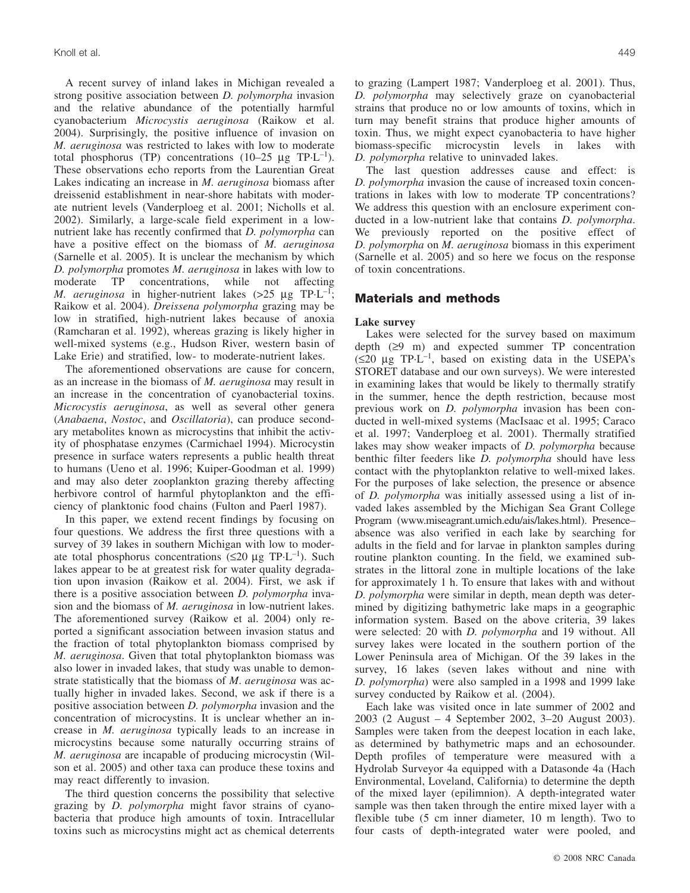A recent survey of inland lakes in Michigan revealed a strong positive association between *D. polymorpha* invasion and the relative abundance of the potentially harmful cyanobacterium *Microcystis aeruginosa* (Raikow et al. 2004). Surprisingly, the positive influence of invasion on *M. aeruginosa* was restricted to lakes with low to moderate total phosphorus (TP) concentrations (10–25  $\mu$ g TP·L<sup>-1</sup>). These observations echo reports from the Laurentian Great Lakes indicating an increase in *M. aeruginosa* biomass after dreissenid establishment in near-shore habitats with moderate nutrient levels (Vanderploeg et al. 2001; Nicholls et al. 2002). Similarly, a large-scale field experiment in a lownutrient lake has recently confirmed that *D. polymorpha* can have a positive effect on the biomass of *M. aeruginosa* (Sarnelle et al. 2005). It is unclear the mechanism by which *D. polymorpha* promotes *M. aeruginosa* in lakes with low to moderate TP concentrations, while not affecting *M. aeruginosa* in higher-nutrient lakes  $(>25 \text{ µg} \text{ TPL}^{-1})$ ; Raikow et al. 2004). *Dreissena polymorpha* grazing may be low in stratified, high-nutrient lakes because of anoxia (Ramcharan et al. 1992), whereas grazing is likely higher in well-mixed systems (e.g., Hudson River, western basin of Lake Erie) and stratified, low- to moderate-nutrient lakes.

The aforementioned observations are cause for concern, as an increase in the biomass of *M. aeruginosa* may result in an increase in the concentration of cyanobacterial toxins. *Microcystis aeruginosa*, as well as several other genera (*Anabaena*, *Nostoc*, and *Oscillatoria*), can produce secondary metabolites known as microcystins that inhibit the activity of phosphatase enzymes (Carmichael 1994). Microcystin presence in surface waters represents a public health threat to humans (Ueno et al. 1996; Kuiper-Goodman et al. 1999) and may also deter zooplankton grazing thereby affecting herbivore control of harmful phytoplankton and the efficiency of planktonic food chains (Fulton and Paerl 1987).

In this paper, we extend recent findings by focusing on four questions. We address the first three questions with a survey of 39 lakes in southern Michigan with low to moderate total phosphorus concentrations ( $\leq 20 \mu$ g TP·L<sup>-1</sup>). Such lakes appear to be at greatest risk for water quality degradation upon invasion (Raikow et al. 2004). First, we ask if there is a positive association between *D. polymorpha* invasion and the biomass of *M. aeruginosa* in low-nutrient lakes. The aforementioned survey (Raikow et al. 2004) only reported a significant association between invasion status and the fraction of total phytoplankton biomass comprised by *M. aeruginosa*. Given that total phytoplankton biomass was also lower in invaded lakes, that study was unable to demonstrate statistically that the biomass of *M*. *aeruginosa* was actually higher in invaded lakes. Second, we ask if there is a positive association between *D. polymorpha* invasion and the concentration of microcystins. It is unclear whether an increase in *M. aeruginosa* typically leads to an increase in microcystins because some naturally occurring strains of *M. aeruginosa* are incapable of producing microcystin (Wilson et al. 2005) and other taxa can produce these toxins and may react differently to invasion.

The third question concerns the possibility that selective grazing by *D. polymorpha* might favor strains of cyanobacteria that produce high amounts of toxin. Intracellular toxins such as microcystins might act as chemical deterrents to grazing (Lampert 1987; Vanderploeg et al. 2001). Thus, *D. polymorpha* may selectively graze on cyanobacterial strains that produce no or low amounts of toxins, which in turn may benefit strains that produce higher amounts of toxin. Thus, we might expect cyanobacteria to have higher biomass-specific microcystin levels in lakes with *D. polymorpha* relative to uninvaded lakes.

The last question addresses cause and effect: is *D. polymorpha* invasion the cause of increased toxin concentrations in lakes with low to moderate TP concentrations? We address this question with an enclosure experiment conducted in a low-nutrient lake that contains *D. polymorpha*. We previously reported on the positive effect of *D. polymorpha* on *M. aeruginosa* biomass in this experiment (Sarnelle et al. 2005) and so here we focus on the response of toxin concentrations.

## **Materials and methods**

## **Lake survey**

Lakes were selected for the survey based on maximum depth (≥9 m) and expected summer TP concentration (≤20 µg TP·L–1, based on existing data in the USEPA's STORET database and our own surveys). We were interested in examining lakes that would be likely to thermally stratify in the summer, hence the depth restriction, because most previous work on *D. polymorpha* invasion has been conducted in well-mixed systems (MacIsaac et al. 1995; Caraco et al. 1997; Vanderploeg et al. 2001). Thermally stratified lakes may show weaker impacts of *D. polymorpha* because benthic filter feeders like *D. polymorpha* should have less contact with the phytoplankton relative to well-mixed lakes. For the purposes of lake selection, the presence or absence of *D. polymorpha* was initially assessed using a list of invaded lakes assembled by the Michigan Sea Grant College Program (www.miseagrant.umich.edu/ais/lakes.html). Presence– absence was also verified in each lake by searching for adults in the field and for larvae in plankton samples during routine plankton counting. In the field, we examined substrates in the littoral zone in multiple locations of the lake for approximately 1 h. To ensure that lakes with and without *D. polymorpha* were similar in depth, mean depth was determined by digitizing bathymetric lake maps in a geographic information system. Based on the above criteria, 39 lakes were selected: 20 with *D. polymorpha* and 19 without. All survey lakes were located in the southern portion of the Lower Peninsula area of Michigan. Of the 39 lakes in the survey, 16 lakes (seven lakes without and nine with *D. polymorpha*) were also sampled in a 1998 and 1999 lake survey conducted by Raikow et al. (2004).

Each lake was visited once in late summer of 2002 and 2003 (2 August – 4 September 2002, 3–20 August 2003). Samples were taken from the deepest location in each lake, as determined by bathymetric maps and an echosounder. Depth profiles of temperature were measured with a Hydrolab Surveyor 4a equipped with a Datasonde 4a (Hach Environmental, Loveland, California) to determine the depth of the mixed layer (epilimnion). A depth-integrated water sample was then taken through the entire mixed layer with a flexible tube (5 cm inner diameter, 10 m length). Two to four casts of depth-integrated water were pooled, and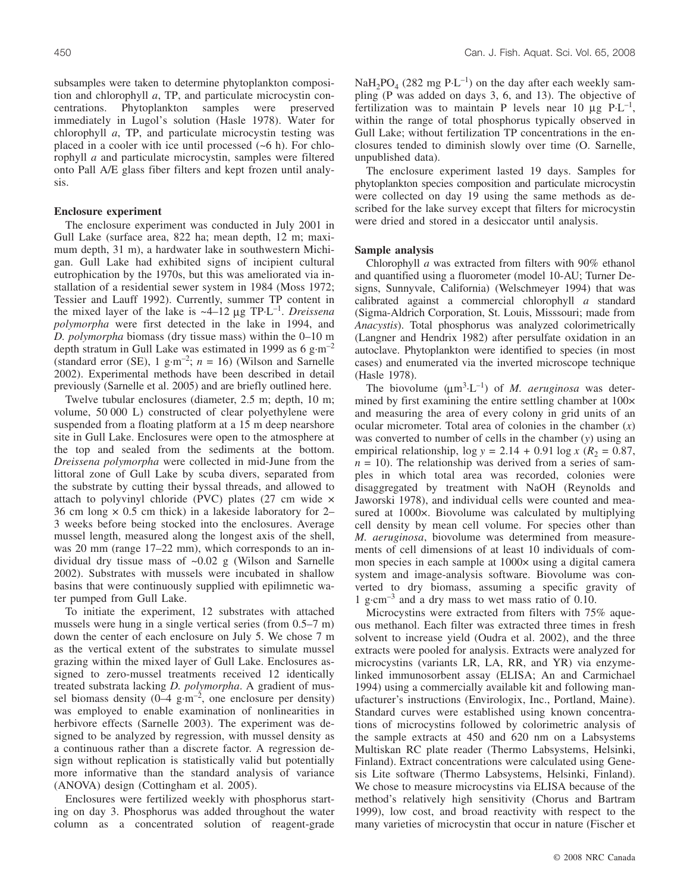subsamples were taken to determine phytoplankton composition and chlorophyll *a*, TP, and particulate microcystin concentrations. Phytoplankton samples were preserved immediately in Lugol's solution (Hasle 1978). Water for chlorophyll *a*, TP, and particulate microcystin testing was placed in a cooler with ice until processed  $(-6 h)$ . For chlorophyll *a* and particulate microcystin, samples were filtered onto Pall A/E glass fiber filters and kept frozen until analysis.

#### **Enclosure experiment**

The enclosure experiment was conducted in July 2001 in Gull Lake (surface area, 822 ha; mean depth, 12 m; maximum depth, 31 m), a hardwater lake in southwestern Michigan. Gull Lake had exhibited signs of incipient cultural eutrophication by the 1970s, but this was ameliorated via installation of a residential sewer system in 1984 (Moss 1972; Tessier and Lauff 1992). Currently, summer TP content in the mixed layer of the lake is  $\sim$ 4–12 µg TP·L<sup>-1</sup>. *Dreissena polymorpha* were first detected in the lake in 1994, and *D. polymorpha* biomass (dry tissue mass) within the 0–10 m depth stratum in Gull Lake was estimated in 1999 as  $6 \text{ g} \cdot \text{m}^{-2}$ (standard error (SE),  $1 \text{ g} \cdot \text{m}^{-2}$ ;  $n = 16$ ) (Wilson and Sarnelle 2002). Experimental methods have been described in detail previously (Sarnelle et al. 2005) and are briefly outlined here.

Twelve tubular enclosures (diameter, 2.5 m; depth, 10 m; volume, 50 000 L) constructed of clear polyethylene were suspended from a floating platform at a 15 m deep nearshore site in Gull Lake. Enclosures were open to the atmosphere at the top and sealed from the sediments at the bottom. *Dreissena polymorpha* were collected in mid-June from the littoral zone of Gull Lake by scuba divers, separated from the substrate by cutting their byssal threads, and allowed to attach to polyvinyl chloride (PVC) plates (27 cm wide  $\times$ 36 cm long  $\times$  0.5 cm thick) in a lakeside laboratory for 2– 3 weeks before being stocked into the enclosures. Average mussel length, measured along the longest axis of the shell, was 20 mm (range  $17-22$  mm), which corresponds to an individual dry tissue mass of ~0.02 g (Wilson and Sarnelle 2002). Substrates with mussels were incubated in shallow basins that were continuously supplied with epilimnetic water pumped from Gull Lake.

To initiate the experiment, 12 substrates with attached mussels were hung in a single vertical series (from 0.5–7 m) down the center of each enclosure on July 5. We chose 7 m as the vertical extent of the substrates to simulate mussel grazing within the mixed layer of Gull Lake. Enclosures assigned to zero-mussel treatments received 12 identically treated substrata lacking *D. polymorpha*. A gradient of mussel biomass density  $(0-4 \text{ g}\cdot\text{m}^{-2})$ , one enclosure per density) was employed to enable examination of nonlinearities in herbivore effects (Sarnelle 2003). The experiment was designed to be analyzed by regression, with mussel density as a continuous rather than a discrete factor. A regression design without replication is statistically valid but potentially more informative than the standard analysis of variance (ANOVA) design (Cottingham et al. 2005).

Enclosures were fertilized weekly with phosphorus starting on day 3. Phosphorus was added throughout the water column as a concentrated solution of reagent-grade  $NaH<sub>2</sub>PO<sub>4</sub>$  (282 mg P·L<sup>-1</sup>) on the day after each weekly sampling (P was added on days 3, 6, and 13). The objective of fertilization was to maintain P levels near 10  $\mu$ g P·L<sup>-1</sup>, within the range of total phosphorus typically observed in Gull Lake; without fertilization TP concentrations in the enclosures tended to diminish slowly over time (O. Sarnelle, unpublished data).

The enclosure experiment lasted 19 days. Samples for phytoplankton species composition and particulate microcystin were collected on day 19 using the same methods as described for the lake survey except that filters for microcystin were dried and stored in a desiccator until analysis.

#### **Sample analysis**

Chlorophyll *a* was extracted from filters with 90% ethanol and quantified using a fluorometer (model 10-AU; Turner Designs, Sunnyvale, California) (Welschmeyer 1994) that was calibrated against a commercial chlorophyll *a* standard (Sigma-Aldrich Corporation, St. Louis, Misssouri; made from *Anacystis*). Total phosphorus was analyzed colorimetrically (Langner and Hendrix 1982) after persulfate oxidation in an autoclave. Phytoplankton were identified to species (in most cases) and enumerated via the inverted microscope technique (Hasle 1978).

The biovolume  $(\mu m^3 \cdot L^{-1})$  of *M. aeruginosa* was determined by first examining the entire settling chamber at 100× and measuring the area of every colony in grid units of an ocular micrometer. Total area of colonies in the chamber (*x*) was converted to number of cells in the chamber (*y*) using an empirical relationship,  $\log y = 2.14 + 0.91 \log x$  ( $R_2 = 0.87$ ,  $n = 10$ ). The relationship was derived from a series of samples in which total area was recorded, colonies were disaggregated by treatment with NaOH (Reynolds and Jaworski 1978), and individual cells were counted and measured at 1000×. Biovolume was calculated by multiplying cell density by mean cell volume. For species other than *M. aeruginosa*, biovolume was determined from measurements of cell dimensions of at least 10 individuals of common species in each sample at  $1000 \times$  using a digital camera system and image-analysis software. Biovolume was converted to dry biomass, assuming a specific gravity of 1 g·cm–3 and a dry mass to wet mass ratio of 0.10.

Microcystins were extracted from filters with 75% aqueous methanol. Each filter was extracted three times in fresh solvent to increase yield (Oudra et al. 2002), and the three extracts were pooled for analysis. Extracts were analyzed for microcystins (variants LR, LA, RR, and YR) via enzymelinked immunosorbent assay (ELISA; An and Carmichael 1994) using a commercially available kit and following manufacturer's instructions (Envirologix, Inc., Portland, Maine). Standard curves were established using known concentrations of microcystins followed by colorimetric analysis of the sample extracts at 450 and 620 nm on a Labsystems Multiskan RC plate reader (Thermo Labsystems, Helsinki, Finland). Extract concentrations were calculated using Genesis Lite software (Thermo Labsystems, Helsinki, Finland). We chose to measure microcystins via ELISA because of the method's relatively high sensitivity (Chorus and Bartram 1999), low cost, and broad reactivity with respect to the many varieties of microcystin that occur in nature (Fischer et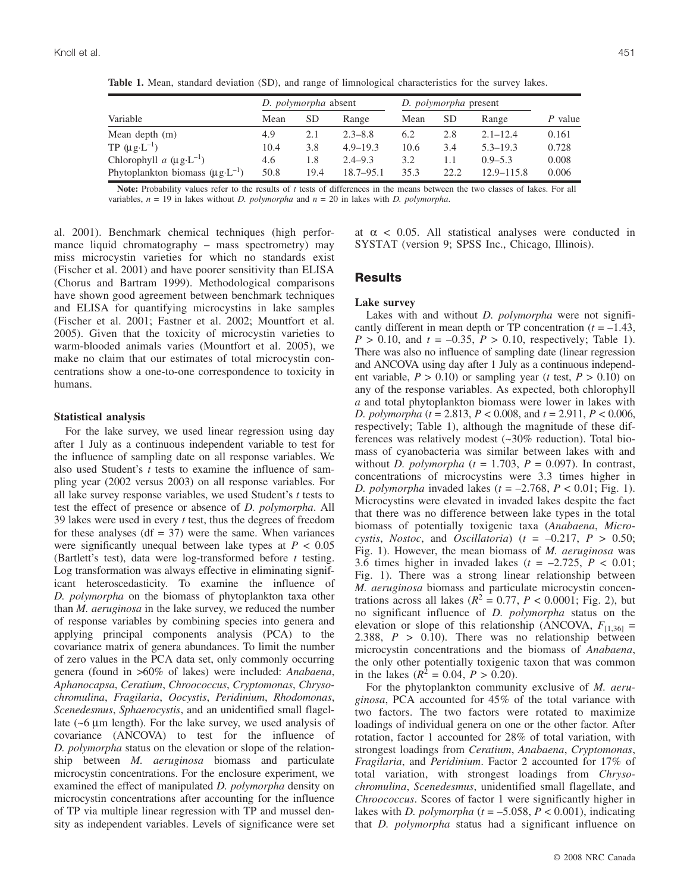| Variable                                     | D. <i>polymorpha</i> absent |      |               | D. <i>polymorpha</i> present |           |                |         |
|----------------------------------------------|-----------------------------|------|---------------|------------------------------|-----------|----------------|---------|
|                                              | Mean                        | SD   | Range         | Mean                         | <b>SD</b> | Range          | P value |
| Mean depth $(m)$                             | 4.9                         | 2.1  | $2.3 - 8.8$   | 6.2                          | 2.8       | $2.1 - 12.4$   | 0.161   |
| TP $(\mu g \cdot L^{-1})$                    | 10.4                        | 3.8  | $4.9 - 19.3$  | 10.6                         | 3.4       | $5.3 - 19.3$   | 0.728   |
| Chlorophyll a $(\mu g \cdot L^{-1})$         | 4.6                         | 1.8  | $2.4 - 9.3$   | 3.2                          | 1.1       | $0.9 - 5.3$    | 0.008   |
| Phytoplankton biomass $(\mu g \cdot L^{-1})$ | 50.8                        | 19.4 | $18.7 - 95.1$ | 35.3                         | 22.2      | $12.9 - 115.8$ | 0.006   |

**Table 1.** Mean, standard deviation (SD), and range of limnological characteristics for the survey lakes.

**Note:** Probability values refer to the results of *t* tests of differences in the means between the two classes of lakes. For all variables, *n* = 19 in lakes without *D. polymorpha* and *n* = 20 in lakes with *D. polymorpha*.

al. 2001). Benchmark chemical techniques (high performance liquid chromatography – mass spectrometry) may miss microcystin varieties for which no standards exist (Fischer et al. 2001) and have poorer sensitivity than ELISA (Chorus and Bartram 1999). Methodological comparisons have shown good agreement between benchmark techniques and ELISA for quantifying microcystins in lake samples (Fischer et al. 2001; Fastner et al. 2002; Mountfort et al. 2005). Given that the toxicity of microcystin varieties to warm-blooded animals varies (Mountfort et al. 2005), we make no claim that our estimates of total microcystin concentrations show a one-to-one correspondence to toxicity in humans.

#### **Statistical analysis**

For the lake survey, we used linear regression using day after 1 July as a continuous independent variable to test for the influence of sampling date on all response variables. We also used Student's *t* tests to examine the influence of sampling year (2002 versus 2003) on all response variables. For all lake survey response variables, we used Student's *t* tests to test the effect of presence or absence of *D. polymorpha*. All 39 lakes were used in every *t* test, thus the degrees of freedom for these analyses  $(df = 37)$  were the same. When variances were significantly unequal between lake types at  $P < 0.05$ (Bartlett's test), data were log-transformed before *t* testing. Log transformation was always effective in eliminating significant heteroscedasticity. To examine the influence of *D. polymorpha* on the biomass of phytoplankton taxa other than *M. aeruginosa* in the lake survey, we reduced the number of response variables by combining species into genera and applying principal components analysis (PCA) to the covariance matrix of genera abundances. To limit the number of zero values in the PCA data set, only commonly occurring genera (found in >60% of lakes) were included: *Anabaena*, *Aphanocapsa*, *Ceratium*, *Chroococcus*, *Cryptomonas*, *Chrysochromulina*, *Fragilaria*, *Oocystis*, *Peridinium*, *Rhodomonas*, *Scenedesmus*, *Sphaerocystis*, and an unidentified small flagellate  $({\sim}6 \mu m)$  length). For the lake survey, we used analysis of covariance (ANCOVA) to test for the influence of *D. polymorpha* status on the elevation or slope of the relationship between *M. aeruginosa* biomass and particulate microcystin concentrations. For the enclosure experiment, we examined the effect of manipulated *D. polymorpha* density on microcystin concentrations after accounting for the influence of TP via multiple linear regression with TP and mussel density as independent variables. Levels of significance were set at  $\alpha$  < 0.05. All statistical analyses were conducted in SYSTAT (version 9; SPSS Inc., Chicago, Illinois).

# **Results**

### **Lake survey**

Lakes with and without *D. polymorpha* were not significantly different in mean depth or TP concentration  $(t = -1.43)$ ,  $P > 0.10$ , and  $t = -0.35$ ,  $P > 0.10$ , respectively; Table 1). There was also no influence of sampling date (linear regression and ANCOVA using day after 1 July as a continuous independent variable,  $P > 0.10$ ) or sampling year (*t* test,  $P > 0.10$ ) on any of the response variables. As expected, both chlorophyll *a* and total phytoplankton biomass were lower in lakes with *D. polymorpha* (*t* = 2.813, *P* < 0.008, and *t* = 2.911, *P* < 0.006, respectively; Table 1), although the magnitude of these differences was relatively modest (~30% reduction). Total biomass of cyanobacteria was similar between lakes with and without *D. polymorpha*  $(t = 1.703, P = 0.097)$ . In contrast, concentrations of microcystins were 3.3 times higher in *D. polymorpha* invaded lakes (*t* = –2.768, *P* < 0.01; Fig. 1). Microcystins were elevated in invaded lakes despite the fact that there was no difference between lake types in the total biomass of potentially toxigenic taxa (*Anabaena*, *Microcystis*, *Nostoc*, and *Oscillatoria*) ( $t = -0.217$ ,  $P > 0.50$ ; Fig. 1). However, the mean biomass of *M. aeruginosa* was 3.6 times higher in invaded lakes  $(t = -2.725, P < 0.01;$ Fig. 1). There was a strong linear relationship between *M. aeruginosa* biomass and particulate microcystin concentrations across all lakes ( $R^2 = 0.77$ ,  $P < 0.0001$ ; Fig. 2), but no significant influence of *D. polymorpha* status on the elevation or slope of this relationship (ANCOVA,  $F_{[1,36]}$  = 2.388,  $P > 0.10$ ). There was no relationship between microcystin concentrations and the biomass of *Anabaena*, the only other potentially toxigenic taxon that was common in the lakes  $(R^2 = 0.04, P > 0.20)$ .

For the phytoplankton community exclusive of *M. aeruginosa*, PCA accounted for 45% of the total variance with two factors. The two factors were rotated to maximize loadings of individual genera on one or the other factor. After rotation, factor 1 accounted for 28% of total variation, with strongest loadings from *Ceratium*, *Anabaena*, *Cryptomonas*, *Fragilaria*, and *Peridinium*. Factor 2 accounted for 17% of total variation, with strongest loadings from *Chrysochromulina*, *Scenedesmus*, unidentified small flagellate, and *Chroococcus*. Scores of factor 1 were significantly higher in lakes with *D. polymorpha*  $(t = -5.058, P < 0.001)$ , indicating that *D. polymorpha* status had a significant influence on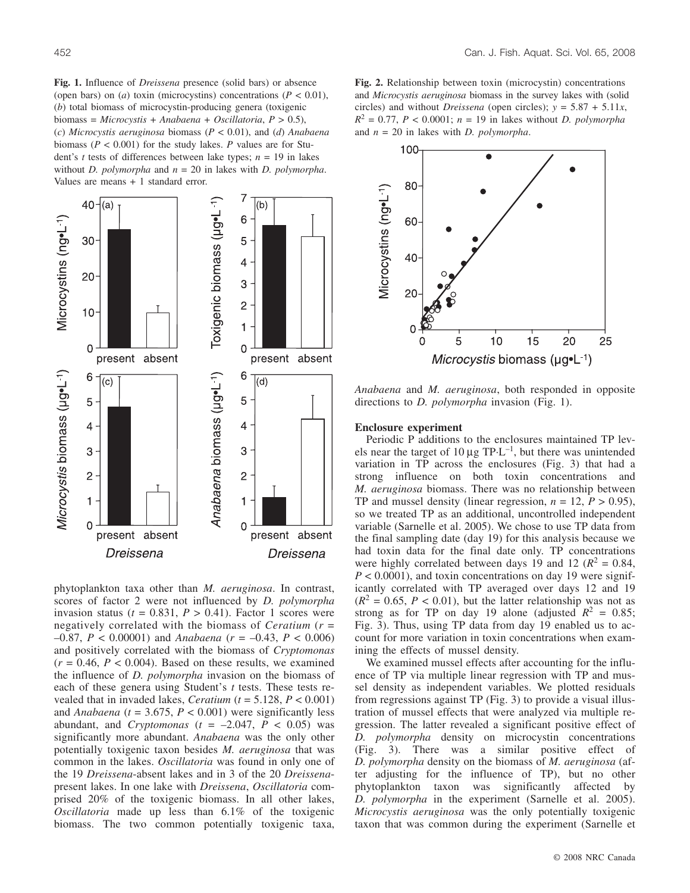**Fig. 1.** Influence of *Dreissena* presence (solid bars) or absence (open bars) on (*a*) toxin (microcystins) concentrations ( $P < 0.01$ ), (*b*) total biomass of microcystin-producing genera (toxigenic biomass = *Microcystis* + *Anabaena* + *Oscillatoria*, *P* > 0.5), (*c*) *Microcystis aeruginosa* biomass (*P* < 0.01), and (*d*) *Anabaena* biomass (*P* < 0.001) for the study lakes. *P* values are for Student's *t* tests of differences between lake types;  $n = 19$  in lakes without *D. polymorpha* and *n* = 20 in lakes with *D. polymorpha*. Values are means + 1 standard error.



phytoplankton taxa other than *M. aeruginosa*. In contrast, scores of factor 2 were not influenced by *D. polymorpha* invasion status ( $t = 0.831$ ,  $P > 0.41$ ). Factor 1 scores were negatively correlated with the biomass of *Ceratium* (*r* = –0.87, *P* < 0.00001) and *Anabaena* (*r* = –0.43, *P* < 0.006) and positively correlated with the biomass of *Cryptomonas*  $(r = 0.46, P < 0.004)$ . Based on these results, we examined the influence of *D. polymorpha* invasion on the biomass of each of these genera using Student's *t* tests. These tests revealed that in invaded lakes, *Ceratium* (*t* = 5.128, *P* < 0.001) and *Anabaena* ( $t = 3.675$ ,  $P < 0.001$ ) were significantly less abundant, and *Cryptomonas* ( $t = -2.047$ ,  $\overline{P}$  < 0.05) was significantly more abundant. *Anabaena* was the only other potentially toxigenic taxon besides *M. aeruginosa* that was common in the lakes. *Oscillatoria* was found in only one of the 19 *Dreissena*-absent lakes and in 3 of the 20 *Dreissena*present lakes. In one lake with *Dreissena*, *Oscillatoria* comprised 20% of the toxigenic biomass. In all other lakes, *Oscillatoria* made up less than 6.1% of the toxigenic biomass. The two common potentially toxigenic taxa,

**Fig. 2.** Relationship between toxin (microcystin) concentrations and *Microcystis aeruginosa* biomass in the survey lakes with (solid circles) and without *Dreissena* (open circles);  $y = 5.87 + 5.11x$ ,  $R^2 = 0.77$ ,  $P < 0.0001$ ;  $n = 19$  in lakes without *D. polymorpha* and *n* = 20 in lakes with *D. polymorpha*.



*Anabaena* and *M. aeruginosa*, both responded in opposite directions to *D. polymorpha* invasion (Fig. 1).

## **Enclosure experiment**

Periodic P additions to the enclosures maintained TP levels near the target of  $10 \mu g T P \cdot L^{-1}$ , but there was unintended variation in TP across the enclosures (Fig. 3) that had a strong influence on both toxin concentrations and *M. aeruginosa* biomass. There was no relationship between TP and mussel density (linear regression,  $n = 12$ ,  $P > 0.95$ ), so we treated TP as an additional, uncontrolled independent variable (Sarnelle et al. 2005). We chose to use TP data from the final sampling date (day 19) for this analysis because we had toxin data for the final date only. TP concentrations were highly correlated between days 19 and 12 ( $R^2 = 0.84$ ,  $P < 0.0001$ ), and toxin concentrations on day 19 were significantly correlated with TP averaged over days 12 and 19  $(R^2 = 0.65, P < 0.01)$ , but the latter relationship was not as strong as for TP on day 19 alone (adjusted  $R^2 = 0.85$ ; Fig. 3). Thus, using TP data from day 19 enabled us to account for more variation in toxin concentrations when examining the effects of mussel density.

We examined mussel effects after accounting for the influence of TP via multiple linear regression with TP and mussel density as independent variables. We plotted residuals from regressions against TP (Fig. 3) to provide a visual illustration of mussel effects that were analyzed via multiple regression. The latter revealed a significant positive effect of *D. polymorpha* density on microcystin concentrations (Fig. 3). There was a similar positive effect of *D. polymorpha* density on the biomass of *M. aeruginosa* (after adjusting for the influence of TP), but no other phytoplankton taxon was significantly affected by *D. polymorpha* in the experiment (Sarnelle et al. 2005). *Microcystis aeruginosa* was the only potentially toxigenic taxon that was common during the experiment (Sarnelle et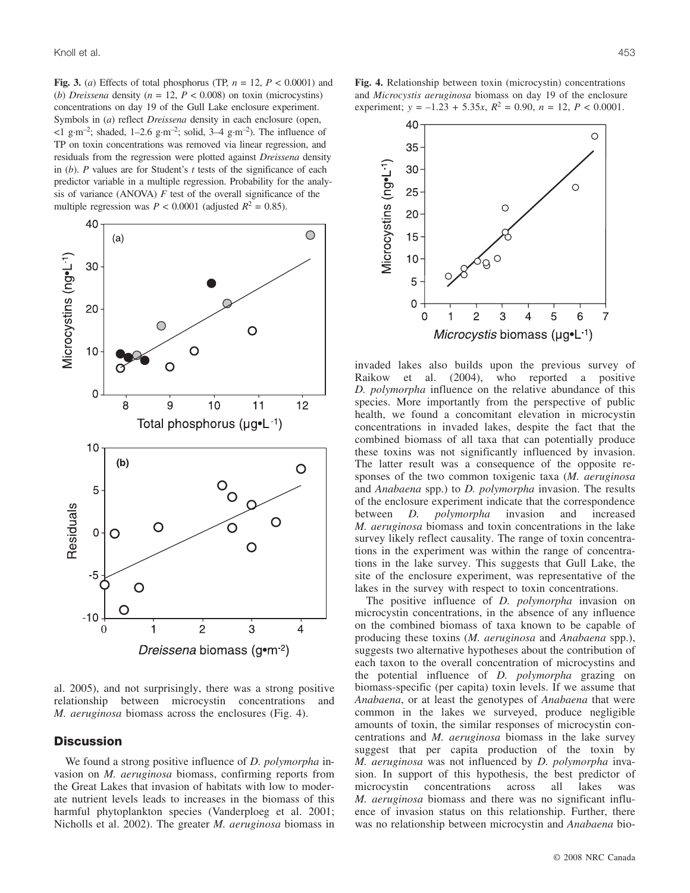**Fig. 3.** (*a*) Effects of total phosphorus (TP,  $n = 12$ ,  $P < 0.0001$ ) and (*b*) *Dreissena* density ( $n = 12$ ,  $P < 0.008$ ) on toxin (microcystins) concentrations on day 19 of the Gull Lake enclosure experiment. Symbols in (*a*) reflect *Dreissena* density in each enclosure (open,  $\leq 1$  g·m<sup>-2</sup>; shaded, 1-2.6 g·m<sup>-2</sup>; solid, 3-4 g·m<sup>-2</sup>). The influence of TP on toxin concentrations was removed via linear regression, and residuals from the regression were plotted against *Dreissena* density in (*b*). *P* values are for Student's *t* tests of the significance of each predictor variable in a multiple regression. Probability for the analysis of variance (ANOVA) *F* test of the overall significance of the multiple regression was  $P < 0.0001$  (adjusted  $R^2 = 0.85$ ).



al. 2005), and not surprisingly, there was a strong positive relationship between microcystin concentrations and *M. aeruginosa* biomass across the enclosures (Fig. 4).

# **Discussion**

We found a strong positive influence of *D. polymorpha* invasion on *M. aeruginosa* biomass, confirming reports from the Great Lakes that invasion of habitats with low to moderate nutrient levels leads to increases in the biomass of this harmful phytoplankton species (Vanderploeg et al. 2001; Nicholls et al. 2002). The greater *M. aeruginosa* biomass in

**Fig. 4.** Relationship between toxin (microcystin) concentrations and *Microcystis aeruginosa* biomass on day 19 of the enclosure experiment;  $y = -1.23 + 5.35x$ ,  $R^2 = 0.90$ ,  $n = 12$ ,  $P < 0.0001$ .



invaded lakes also builds upon the previous survey of Raikow et al. (2004), who reported a positive *D. polymorpha* influence on the relative abundance of this species. More importantly from the perspective of public health, we found a concomitant elevation in microcystin concentrations in invaded lakes, despite the fact that the combined biomass of all taxa that can potentially produce these toxins was not significantly influenced by invasion. The latter result was a consequence of the opposite responses of the two common toxigenic taxa (*M. aeruginosa* and *Anabaena* spp.) to *D. polymorpha* invasion. The results of the enclosure experiment indicate that the correspondence between *D. polymorpha* invasion and increased *M. aeruginosa* biomass and toxin concentrations in the lake survey likely reflect causality. The range of toxin concentrations in the experiment was within the range of concentrations in the lake survey. This suggests that Gull Lake, the site of the enclosure experiment, was representative of the lakes in the survey with respect to toxin concentrations.

The positive influence of *D. polymorpha* invasion on microcystin concentrations, in the absence of any influence on the combined biomass of taxa known to be capable of producing these toxins (*M. aeruginosa* and *Anabaena* spp.), suggests two alternative hypotheses about the contribution of each taxon to the overall concentration of microcystins and the potential influence of *D. polymorpha* grazing on biomass-specific (per capita) toxin levels. If we assume that *Anabaena*, or at least the genotypes of *Anabaena* that were common in the lakes we surveyed, produce negligible amounts of toxin, the similar responses of microcystin concentrations and *M. aeruginosa* biomass in the lake survey suggest that per capita production of the toxin by *M. aeruginosa* was not influenced by *D. polymorpha* invasion. In support of this hypothesis, the best predictor of microcystin concentrations across all lakes was *M. aeruginosa* biomass and there was no significant influence of invasion status on this relationship. Further, there was no relationship between microcystin and *Anabaena* bio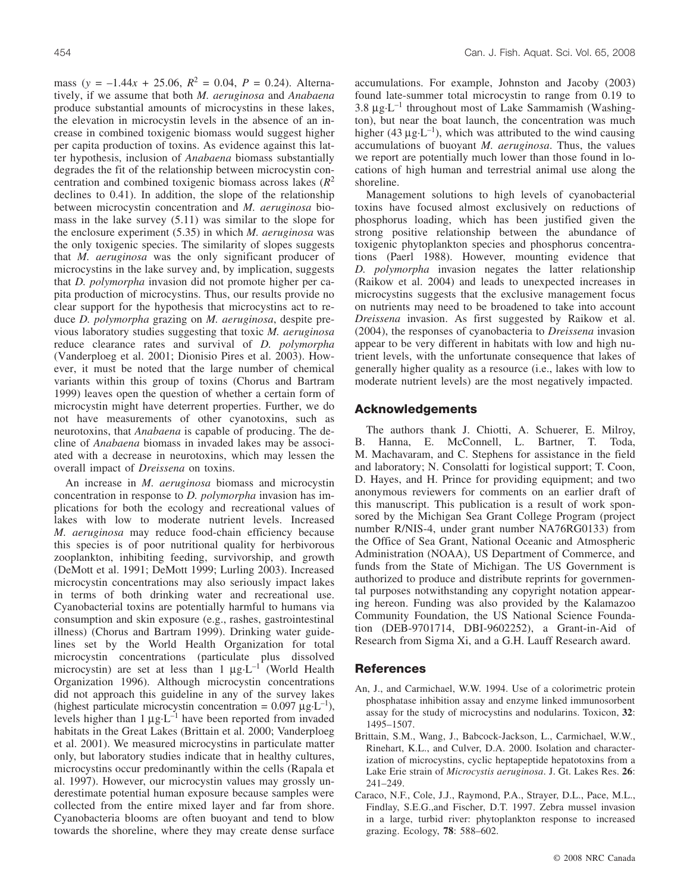mass ( $y = -1.44x + 25.06$ ,  $R^2 = 0.04$ ,  $P = 0.24$ ). Alternatively, if we assume that both *M. aeruginosa* and *Anabaena* produce substantial amounts of microcystins in these lakes, the elevation in microcystin levels in the absence of an increase in combined toxigenic biomass would suggest higher per capita production of toxins. As evidence against this latter hypothesis, inclusion of *Anabaena* biomass substantially degrades the fit of the relationship between microcystin concentration and combined toxigenic biomass across lakes (*R*<sup>2</sup> declines to 0.41). In addition, the slope of the relationship between microcystin concentration and *M. aeruginosa* biomass in the lake survey (5.11) was similar to the slope for the enclosure experiment (5.35) in which *M. aeruginosa* was the only toxigenic species. The similarity of slopes suggests that *M. aeruginosa* was the only significant producer of microcystins in the lake survey and, by implication, suggests that *D. polymorpha* invasion did not promote higher per capita production of microcystins. Thus, our results provide no clear support for the hypothesis that microcystins act to reduce *D. polymorpha* grazing on *M. aeruginosa*, despite previous laboratory studies suggesting that toxic *M. aeruginosa* reduce clearance rates and survival of *D. polymorpha* (Vanderploeg et al. 2001; Dionisio Pires et al. 2003). However, it must be noted that the large number of chemical variants within this group of toxins (Chorus and Bartram 1999) leaves open the question of whether a certain form of microcystin might have deterrent properties. Further, we do not have measurements of other cyanotoxins, such as neurotoxins, that *Anabaena* is capable of producing. The decline of *Anabaena* biomass in invaded lakes may be associated with a decrease in neurotoxins, which may lessen the overall impact of *Dreissena* on toxins.

An increase in *M. aeruginosa* biomass and microcystin concentration in response to *D. polymorpha* invasion has implications for both the ecology and recreational values of lakes with low to moderate nutrient levels. Increased *M. aeruginosa* may reduce food-chain efficiency because this species is of poor nutritional quality for herbivorous zooplankton, inhibiting feeding, survivorship, and growth (DeMott et al. 1991; DeMott 1999; Lurling 2003). Increased microcystin concentrations may also seriously impact lakes in terms of both drinking water and recreational use. Cyanobacterial toxins are potentially harmful to humans via consumption and skin exposure (e.g., rashes, gastrointestinal illness) (Chorus and Bartram 1999). Drinking water guidelines set by the World Health Organization for total microcystin concentrations (particulate plus dissolved microcystin) are set at less than  $1 \mu g \cdot L^{-1}$  (World Health Organization 1996). Although microcystin concentrations did not approach this guideline in any of the survey lakes (highest particulate microcystin concentration =  $0.097 \mu g \cdot L^{-1}$ ), levels higher than  $1 \mu g \cdot L^{-1}$  have been reported from invaded habitats in the Great Lakes (Brittain et al. 2000; Vanderploeg et al. 2001). We measured microcystins in particulate matter only, but laboratory studies indicate that in healthy cultures, microcystins occur predominantly within the cells (Rapala et al. 1997). However, our microcystin values may grossly underestimate potential human exposure because samples were collected from the entire mixed layer and far from shore. Cyanobacteria blooms are often buoyant and tend to blow towards the shoreline, where they may create dense surface

accumulations. For example, Johnston and Jacoby (2003) found late-summer total microcystin to range from 0.19 to 3.8  $\mu$ g·L<sup>-1</sup> throughout most of Lake Sammamish (Washington), but near the boat launch, the concentration was much higher (43  $\mu$ g·L<sup>-1</sup>), which was attributed to the wind causing accumulations of buoyant *M. aeruginosa*. Thus, the values we report are potentially much lower than those found in locations of high human and terrestrial animal use along the shoreline.

Management solutions to high levels of cyanobacterial toxins have focused almost exclusively on reductions of phosphorus loading, which has been justified given the strong positive relationship between the abundance of toxigenic phytoplankton species and phosphorus concentrations (Paerl 1988). However, mounting evidence that *D. polymorpha* invasion negates the latter relationship (Raikow et al. 2004) and leads to unexpected increases in microcystins suggests that the exclusive management focus on nutrients may need to be broadened to take into account *Dreissena* invasion. As first suggested by Raikow et al. (2004), the responses of cyanobacteria to *Dreissena* invasion appear to be very different in habitats with low and high nutrient levels, with the unfortunate consequence that lakes of generally higher quality as a resource (i.e., lakes with low to moderate nutrient levels) are the most negatively impacted.

## **Acknowledgements**

The authors thank J. Chiotti, A. Schuerer, E. Milroy, B. Hanna, E. McConnell, L. Bartner, T. Toda, M. Machavaram, and C. Stephens for assistance in the field and laboratory; N. Consolatti for logistical support; T. Coon, D. Hayes, and H. Prince for providing equipment; and two anonymous reviewers for comments on an earlier draft of this manuscript. This publication is a result of work sponsored by the Michigan Sea Grant College Program (project number R/NIS-4, under grant number NA76RG0133) from the Office of Sea Grant, National Oceanic and Atmospheric Administration (NOAA), US Department of Commerce, and funds from the State of Michigan. The US Government is authorized to produce and distribute reprints for governmental purposes notwithstanding any copyright notation appearing hereon. Funding was also provided by the Kalamazoo Community Foundation, the US National Science Foundation (DEB-9701714, DBI-9602252), a Grant-in-Aid of Research from Sigma Xi, and a G.H. Lauff Research award.

# **References**

- An, J., and Carmichael, W.W. 1994. Use of a colorimetric protein phosphatase inhibition assay and enzyme linked immunosorbent assay for the study of microcystins and nodularins. Toxicon, **32**: 1495–1507.
- Brittain, S.M., Wang, J., Babcock-Jackson, L., Carmichael, W.W., Rinehart, K.L., and Culver, D.A. 2000. Isolation and characterization of microcystins, cyclic heptapeptide hepatotoxins from a Lake Erie strain of *Microcystis aeruginosa*. J. Gt. Lakes Res. **26**: 241–249.
- Caraco, N.F., Cole, J.J., Raymond, P.A., Strayer, D.L., Pace, M.L., Findlay, S.E.G.,and Fischer, D.T. 1997. Zebra mussel invasion in a large, turbid river: phytoplankton response to increased grazing. Ecology, **78**: 588–602.